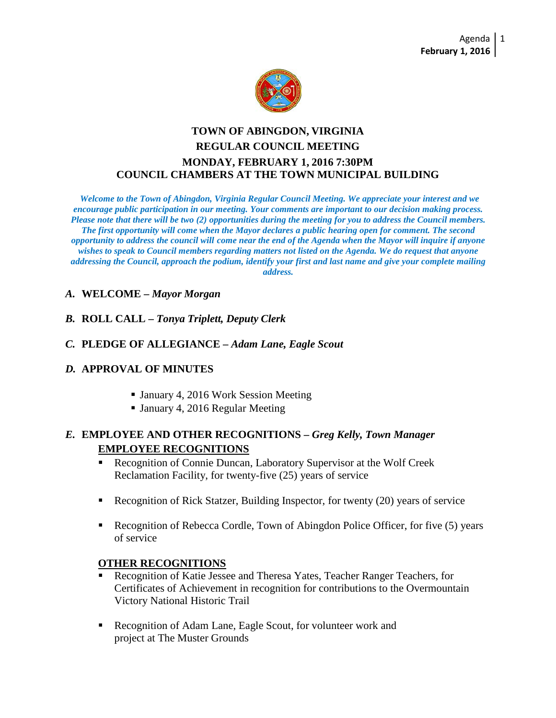

# **TOWN OF ABINGDON, VIRGINIA REGULAR COUNCIL MEETING MONDAY, FEBRUARY 1, 2016 7:30PM COUNCIL CHAMBERS AT THE TOWN MUNICIPAL BUILDING**

*Welcome to the Town of Abingdon, Virginia Regular Council Meeting. We appreciate your interest and we encourage public participation in our meeting. Your comments are important to our decision making process. Please note that there will be two (2) opportunities during the meeting for you to address the Council members. The first opportunity will come when the Mayor declares a public hearing open for comment. The second opportunity to address the council will come near the end of the Agenda when the Mayor will inquire if anyone wishes to speak to Council members regarding matters not listed on the Agenda. We do request that anyone addressing the Council, approach the podium, identify your first and last name and give your complete mailing address.*

## *A.* **WELCOME –** *Mayor Morgan*

*B.* **ROLL CALL –** *Tonya Triplett, Deputy Clerk*

## *C.* **PLEDGE OF ALLEGIANCE –** *Adam Lane, Eagle Scout*

## *D.* **APPROVAL OF MINUTES**

- January 4, 2016 Work Session Meeting
- January 4, 2016 Regular Meeting

# *E.* **EMPLOYEE AND OTHER RECOGNITIONS –** *Greg Kelly, Town Manager* **EMPLOYEE RECOGNITIONS**

- Recognition of Connie Duncan, Laboratory Supervisor at the Wolf Creek Reclamation Facility, for twenty-five (25) years of service
- Recognition of Rick Statzer, Building Inspector, for twenty (20) years of service
- Recognition of Rebecca Cordle, Town of Abingdon Police Officer, for five (5) years of service

## **OTHER RECOGNITIONS**

- Recognition of Katie Jessee and Theresa Yates, Teacher Ranger Teachers, for Certificates of Achievement in recognition for contributions to the Overmountain Victory National Historic Trail
- Recognition of Adam Lane, Eagle Scout, for volunteer work and project at The Muster Grounds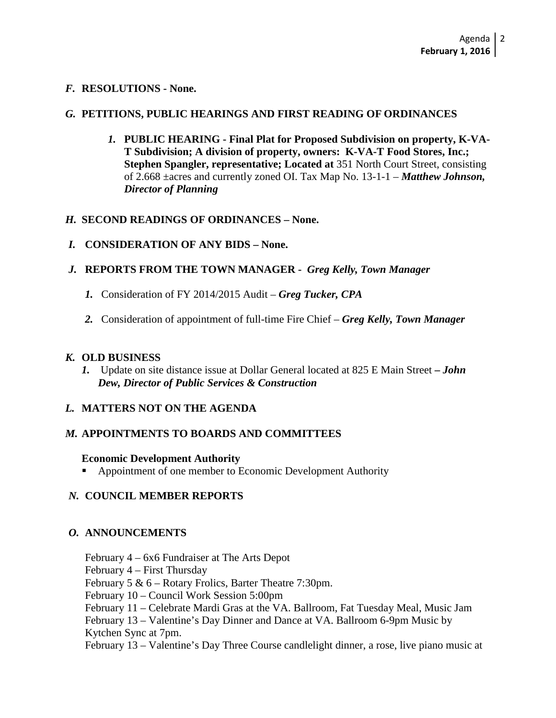## *F.* **RESOLUTIONS - None.**

## *G.* **PETITIONS, PUBLIC HEARINGS AND FIRST READING OF ORDINANCES**

*1.* **PUBLIC HEARING - Final Plat for Proposed Subdivision on property, K-VA-T Subdivision; A division of property, owners: K-VA-T Food Stores, Inc.; Stephen Spangler, representative; Located at** 351 North Court Street, consisting of 2.668 ±acres and currently zoned OI. Tax Map No. 13-1-1 – *Matthew Johnson, Director of Planning* 

## *H.* **SECOND READINGS OF ORDINANCES – None.**

- *I.* **CONSIDERATION OF ANY BIDS – None.**
- *J.* **REPORTS FROM THE TOWN MANAGER** *Greg Kelly, Town Manager*
	- *1.* Consideration of FY 2014/2015 Audit *Greg Tucker, CPA*
	- *2.* Consideration of appointment of full-time Fire Chief *Greg Kelly, Town Manager*

## *K.* **OLD BUSINESS**

*1.* Update on site distance issue at Dollar General located at 825 E Main Street **–** *John Dew, Director of Public Services & Construction*

## *L.* **MATTERS NOT ON THE AGENDA**

# *M.* **APPOINTMENTS TO BOARDS AND COMMITTEES**

## **Economic Development Authority**

**Appointment of one member to Economic Development Authority** 

# *N.* **COUNCIL MEMBER REPORTS**

# *O.* **ANNOUNCEMENTS**

February 4 – 6x6 Fundraiser at The Arts Depot

February 4 – First Thursday

February 5 & 6 – Rotary Frolics, Barter Theatre 7:30pm.

February 10 – Council Work Session 5:00pm

February 11 – Celebrate Mardi Gras at the VA. Ballroom, Fat Tuesday Meal, Music Jam

February 13 – Valentine's Day Dinner and Dance at VA. Ballroom 6-9pm Music by Kytchen Sync at 7pm.

February 13 – Valentine's Day Three Course candlelight dinner, a rose, live piano music at